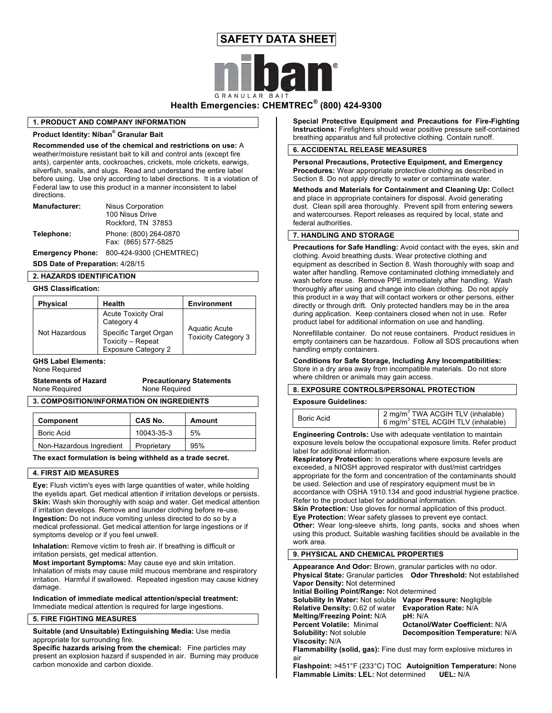# **SAFETY DATA SHEET**



# **Health Emergencies: CHEMTREC® (800) 424-9300**

## **1. PRODUCT AND COMPANY INFORMATION**

# **Product Identity: Niban® Granular Bait**

**Recommended use of the chemical and restrictions on use:** A weather/moisture resistant bait to kill and control ants (except fire ants), carpenter ants, cockroaches, crickets, mole crickets, earwigs, silverfish, snails, and slugs. Read and understand the entire label before using. Use only according to label directions. It is a violation of Federal law to use this product in a manner inconsistent to label directions.

| Manufacturer: | Nisus Corporation     |
|---------------|-----------------------|
|               | 100 Nisus Drive       |
|               | Rockford, TN 37853    |
| Telephone:    | Phone: (800) 264-0870 |
|               | Fax: (865) 577-5825   |

**Emergency Phone:** 800-424-9300 (CHEMTREC)

**SDS Date of Preparation:** 4/28/15

### **2. HAZARDS IDENTIFICATION**

### **GHS Classification:**

| <b>Physical</b> | Health                                                                   | <b>Environment</b>                                 |
|-----------------|--------------------------------------------------------------------------|----------------------------------------------------|
|                 | <b>Acute Toxicity Oral</b><br>Category 4                                 |                                                    |
| Not Hazardous   | Specific Target Organ<br>Toxicity - Repeat<br><b>Exposure Category 2</b> | <b>Aquatic Acute</b><br><b>Toxicity Category 3</b> |

# None Required

| <b>INDITE INCURRITED</b> |  |  |
|--------------------------|--|--|
| Ctatamanta of Ungard     |  |  |

**Statements of Hazard Precautionary Statements** None Required None Required

**3. COMPOSITION/INFORMATION ON INGREDIENTS**

| Component                | <b>CAS No.</b> | Amount |
|--------------------------|----------------|--------|
| Boric Acid               | 10043-35-3     | 5%     |
| Non-Hazardous Ingredient | Proprietary    | 95%    |

**The exact formulation is being withheld as a trade secret.**

## **4. FIRST AID MEASURES**

**Eye:** Flush victim's eyes with large quantities of water, while holding the eyelids apart. Get medical attention if irritation develops or persists. **Skin:** Wash skin thoroughly with soap and water. Get medical attention if irritation develops. Remove and launder clothing before re-use. **Ingestion:** Do not induce vomiting unless directed to do so by a medical professional. Get medical attention for large ingestions or if symptoms develop or if you feel unwell.

**Inhalation:** Remove victim to fresh air. If breathing is difficult or irritation persists, get medical attention.

**Most important Symptoms:** May cause eye and skin irritation. Inhalation of mists may cause mild mucous membrane and respiratory irritation. Harmful if swallowed. Repeated ingestion may cause kidney damage.

**Indication of immediate medical attention/special treatment:** Immediate medical attention is required for large ingestions.

# **5. FIRE FIGHTING MEASURES**

**Suitable (and Unsuitable) Extinguishing Media:** Use media appropriate for surrounding fire.

**Specific hazards arising from the chemical:** Fine particles may present an explosion hazard if suspended in air. Burning may produce carbon monoxide and carbon dioxide.

**Special Protective Equipment and Precautions for Fire-Fighting Instructions:** Firefighters should wear positive pressure self-contained breathing apparatus and full protective clothing. Contain runoff.

# **6. ACCIDENTAL RELEASE MEASURES**

**Personal Precautions, Protective Equipment, and Emergency Procedures:** Wear appropriate protective clothing as described in Section 8. Do not apply directly to water or contaminate water.

**Methods and Materials for Containment and Cleaning Up:** Collect and place in appropriate containers for disposal. Avoid generating dust. Clean spill area thoroughly. Prevent spill from entering sewers and watercourses. Report releases as required by local, state and federal authorities.

## **7. HANDLING AND STORAGE**

**Precautions for Safe Handling:** Avoid contact with the eyes, skin and clothing. Avoid breathing dusts. Wear protective clothing and equipment as described in Section 8. Wash thoroughly with soap and water after handling. Remove contaminated clothing immediately and wash before reuse. Remove PPE immediately after handling. Wash thoroughly after using and change into clean clothing. Do not apply this product in a way that will contact workers or other persons, either directly or through drift. Only protected handlers may be in the area during application. Keep containers closed when not in use. Refer product label for additional information on use and handling.

Nonrefillable container. Do not reuse containers. Product residues in empty containers can be hazardous. Follow all SDS precautions when handling empty containers.

**GHS Label Elements:** TE **Conditions for Safe Storage, Including Any Incompatibilities:**  Store in a dry area away from incompatible materials. Do not store where children or animals may gain access.

### **8. EXPOSURE CONTROLS/PERSONAL PROTECTION**

#### **Exposure Guidelines:**

| Boric Acid | $\frac{1}{2}$ mg/m <sup>3</sup> TWA ACGIH TLV (inhalable)<br>$\frac{1}{2}$ 6 mg/m <sup>3</sup> STEL ACGIH TLV (inhalable) |
|------------|---------------------------------------------------------------------------------------------------------------------------|
|            |                                                                                                                           |

**Engineering Controls:** Use with adequate ventilation to maintain exposure levels below the occupational exposure limits. Refer product label for additional information.

**Respiratory Protection:** In operations where exposure levels are exceeded, a NIOSH approved respirator with dust/mist cartridges appropriate for the form and concentration of the contaminants should be used. Selection and use of respiratory equipment must be in accordance with OSHA 1910.134 and good industrial hygiene practice. Refer to the product label for additional information.

**Skin Protection:** Use gloves for normal application of this product. **Eye Protection:** Wear safety glasses to prevent eye contact.

**Other:** Wear long-sleeve shirts, long pants, socks and shoes when using this product. Suitable washing facilities should be available in the work area

# **9. PHYSICAL AND CHEMICAL PROPERTIES**

**Appearance And Odor:** Brown, granular particles with no odor. **Physical State:** Granular particles **Odor Threshold:** Not established **Vapor Density:** Not determined

**Initial Boiling Point/Range:** Not determined

**Solubility In Water:** Not soluble **Vapor Pressure:** Negligible **Relative Density:** 0.62 of water **Evaporation Rate:** N/A **Melting/Freezing Point:** N/A **pH:** N/A **Viscosity:** N/A

**Percent Volatile:** Minimal **Octanol/Water Coefficient:** N/A **Solubility:** Not soluble **Decomposition Temperature:** N/A

**Flammability (solid, gas):** Fine dust may form explosive mixtures in air

**Flashpoint:** >451°F (233°C) TOC **Autoignition Temperature:** None **Flammable Limits: LEL:** Not determined **UEL:** N/A